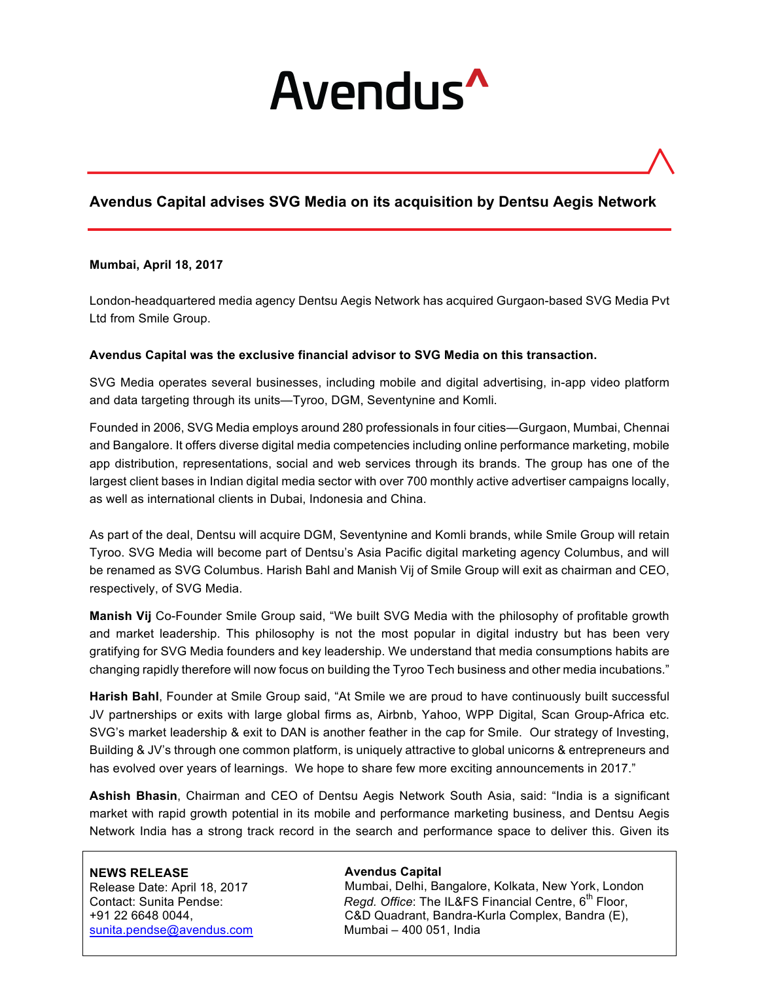# Avendus<sup>^</sup>

# **Avendus Capital advises SVG Media on its acquisition by Dentsu Aegis Network**

#### **Mumbai, April 18, 2017**

London-headquartered media agency Dentsu Aegis Network has acquired Gurgaon-based SVG Media Pvt Ltd from Smile Group.

#### **Avendus Capital was the exclusive financial advisor to SVG Media on this transaction.**

SVG Media operates several businesses, including mobile and digital advertising, in-app video platform and data targeting through its units—Tyroo, DGM, Seventynine and Komli.

Founded in 2006, SVG Media employs around 280 professionals in four cities—Gurgaon, Mumbai, Chennai and Bangalore. It offers diverse digital media competencies including online performance marketing, mobile app distribution, representations, social and web services through its brands. The group has one of the largest client bases in Indian digital media sector with over 700 monthly active advertiser campaigns locally, as well as international clients in Dubai, Indonesia and China.

As part of the deal, Dentsu will acquire DGM, Seventynine and Komli brands, while Smile Group will retain Tyroo. SVG Media will become part of Dentsu's Asia Pacific digital marketing agency Columbus, and will be renamed as SVG Columbus. Harish Bahl and Manish Vij of Smile Group will exit as chairman and CEO, respectively, of SVG Media.

**Manish Vij** Co-Founder Smile Group said, "We built SVG Media with the philosophy of profitable growth and market leadership. This philosophy is not the most popular in digital industry but has been very gratifying for SVG Media founders and key leadership. We understand that media consumptions habits are changing rapidly therefore will now focus on building the Tyroo Tech business and other media incubations."

**Harish Bahl**, Founder at Smile Group said, "At Smile we are proud to have continuously built successful JV partnerships or exits with large global firms as, Airbnb, Yahoo, WPP Digital, Scan Group-Africa etc. SVG's market leadership & exit to DAN is another feather in the cap for Smile. Our strategy of Investing, Building & JV's through one common platform, is uniquely attractive to global unicorns & entrepreneurs and has evolved over years of learnings. We hope to share few more exciting announcements in 2017."

**Ashish Bhasin**, Chairman and CEO of Dentsu Aegis Network South Asia, said: "India is a significant market with rapid growth potential in its mobile and performance marketing business, and Dentsu Aegis Network India has a strong track record in the search and performance space to deliver this. Given its

#### **NEWS RELEASE**

Release Date: April 18, 2017 sunita.pendse@avendus.com Mumbai – 400 051, India

#### **Avendus Capital**

Mumbai, Delhi, Bangalore, Kolkata, New York, London Contact: Sunita Pendse: *Regd. Office*: The IL&FS Financial Centre, 6th Floor, +91 22 6648 0044, C&D Quadrant, Bandra-Kurla Complex, Bandra (E),